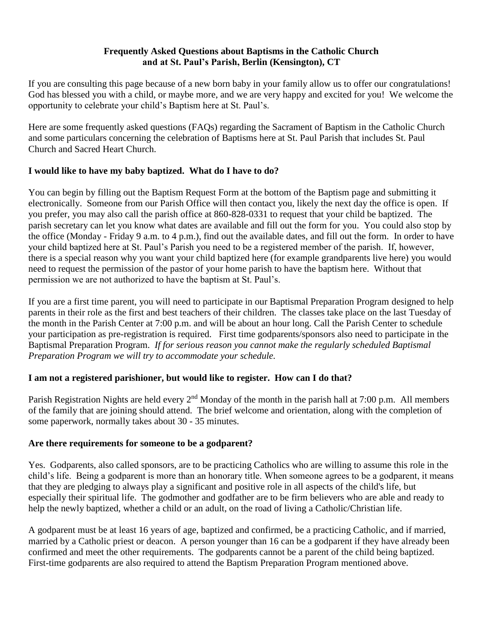#### **Frequently Asked Questions about Baptisms in the Catholic Church and at St. Paul's Parish, Berlin (Kensington), CT**

If you are consulting this page because of a new born baby in your family allow us to offer our congratulations! God has blessed you with a child, or maybe more, and we are very happy and excited for you! We welcome the opportunity to celebrate your child's Baptism here at St. Paul's.

Here are some frequently asked questions (FAQs) regarding the Sacrament of Baptism in the Catholic Church and some particulars concerning the celebration of Baptisms here at St. Paul Parish that includes St. Paul Church and Sacred Heart Church.

# **I would like to have my baby baptized. What do I have to do?**

You can begin by filling out the Baptism Request Form at the bottom of the Baptism page and submitting it electronically. Someone from our Parish Office will then contact you, likely the next day the office is open. If you prefer, you may also call the parish office at 860-828-0331 to request that your child be baptized. The parish secretary can let you know what dates are available and fill out the form for you. You could also stop by the office (Monday - Friday 9 a.m. to 4 p.m.), find out the available dates, and fill out the form. In order to have your child baptized here at St. Paul's Parish you need to be a registered member of the parish. If, however, there is a special reason why you want your child baptized here (for example grandparents live here) you would need to request the permission of the pastor of your home parish to have the baptism here. Without that permission we are not authorized to have the baptism at St. Paul's.

If you are a first time parent, you will need to participate in our Baptismal Preparation Program designed to help parents in their role as the first and best teachers of their children. The classes take place on the last Tuesday of the month in the Parish Center at 7:00 p.m. and will be about an hour long. Call the Parish Center to schedule your participation as pre-registration is required. First time godparents/sponsors also need to participate in the Baptismal Preparation Program. *If for serious reason you cannot make the regularly scheduled Baptismal Preparation Program we will try to accommodate your schedule.*

# **I am not a registered parishioner, but would like to register. How can I do that?**

Parish Registration Nights are held every  $2<sup>nd</sup>$  Monday of the month in the parish hall at 7:00 p.m. All members of the family that are joining should attend. The brief welcome and orientation, along with the completion of some paperwork, normally takes about 30 - 35 minutes.

# **Are there requirements for someone to be a godparent?**

Yes. Godparents, also called sponsors, are to be practicing Catholics who are willing to assume this role in the child's life. Being a godparent is more than an honorary title. When someone agrees to be a godparent, it means that they are pledging to always play a significant and positive role in all aspects of the child's life, but especially their spiritual life. The godmother and godfather are to be firm believers who are able and ready to help the newly baptized, whether a child or an adult, on the road of living a Catholic/Christian life.

A godparent must be at least 16 years of age, baptized and confirmed, be a practicing Catholic, and if married, married by a Catholic priest or deacon. A person younger than 16 can be a godparent if they have already been confirmed and meet the other requirements. The godparents cannot be a parent of the child being baptized. First-time godparents are also required to attend the Baptism Preparation Program mentioned above.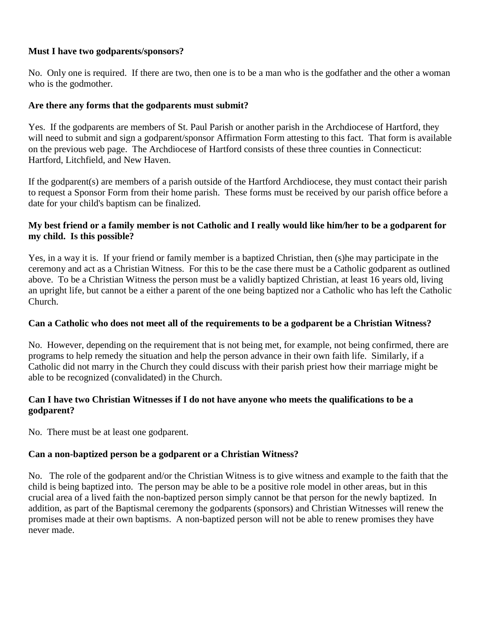### **Must I have two godparents/sponsors?**

No. Only one is required. If there are two, then one is to be a man who is the godfather and the other a woman who is the godmother.

# **Are there any forms that the godparents must submit?**

Yes. If the godparents are members of St. Paul Parish or another parish in the Archdiocese of Hartford, they will need to submit and sign a godparent/sponsor Affirmation Form attesting to this fact. That form is available on the previous web page. The Archdiocese of Hartford consists of these three counties in Connecticut: Hartford, Litchfield, and New Haven.

If the godparent(s) are members of a parish outside of the Hartford Archdiocese, they must contact their parish to request a Sponsor Form from their home parish. These forms must be received by our parish office before a date for your child's baptism can be finalized.

## **My best friend or a family member is not Catholic and I really would like him/her to be a godparent for my child. Is this possible?**

Yes, in a way it is. If your friend or family member is a baptized Christian, then (s)he may participate in the ceremony and act as a Christian Witness. For this to be the case there must be a Catholic godparent as outlined above. To be a Christian Witness the person must be a validly baptized Christian, at least 16 years old, living an upright life, but cannot be a either a parent of the one being baptized nor a Catholic who has left the Catholic Church.

### **Can a Catholic who does not meet all of the requirements to be a godparent be a Christian Witness?**

No. However, depending on the requirement that is not being met, for example, not being confirmed, there are programs to help remedy the situation and help the person advance in their own faith life. Similarly, if a Catholic did not marry in the Church they could discuss with their parish priest how their marriage might be able to be recognized (convalidated) in the Church.

### **Can I have two Christian Witnesses if I do not have anyone who meets the qualifications to be a godparent?**

No. There must be at least one godparent.

# **Can a non-baptized person be a godparent or a Christian Witness?**

No. The role of the godparent and/or the Christian Witness is to give witness and example to the faith that the child is being baptized into. The person may be able to be a positive role model in other areas, but in this crucial area of a lived faith the non-baptized person simply cannot be that person for the newly baptized. In addition, as part of the Baptismal ceremony the godparents (sponsors) and Christian Witnesses will renew the promises made at their own baptisms. A non-baptized person will not be able to renew promises they have never made.